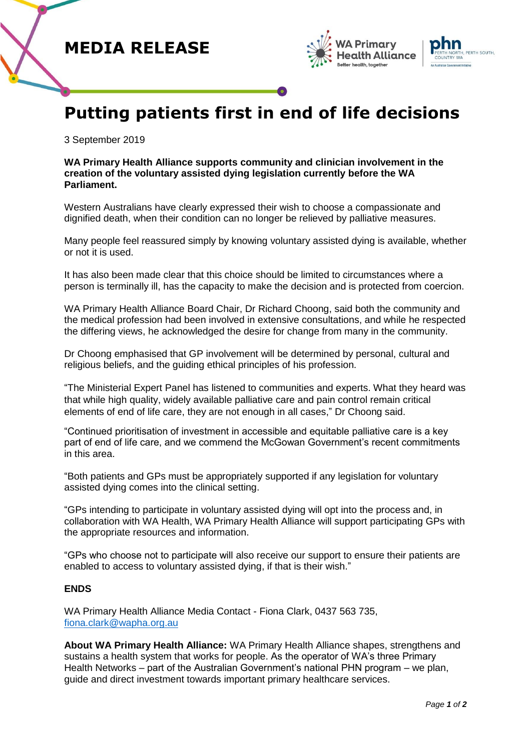





## **Putting patients first in end of life decisions**

3 September 2019

**WA Primary Health Alliance supports community and clinician involvement in the creation of the voluntary assisted dying legislation currently before the WA Parliament.**

Western Australians have clearly expressed their wish to choose a compassionate and dignified death, when their condition can no longer be relieved by palliative measures.

Many people feel reassured simply by knowing voluntary assisted dying is available, whether or not it is used.

It has also been made clear that this choice should be limited to circumstances where a person is terminally ill, has the capacity to make the decision and is protected from coercion.

WA Primary Health Alliance Board Chair, Dr Richard Choong, said both the community and the medical profession had been involved in extensive consultations, and while he respected the differing views, he acknowledged the desire for change from many in the community.

Dr Choong emphasised that GP involvement will be determined by personal, cultural and religious beliefs, and the guiding ethical principles of his profession.

"The Ministerial Expert Panel has listened to communities and experts. What they heard was that while high quality, widely available palliative care and pain control remain critical elements of end of life care, they are not enough in all cases," Dr Choong said.

"Continued prioritisation of investment in accessible and equitable palliative care is a key part of end of life care, and we commend the McGowan Government's recent commitments in this area.

"Both patients and GPs must be appropriately supported if any legislation for voluntary assisted dying comes into the clinical setting.

"GPs intending to participate in voluntary assisted dying will opt into the process and, in collaboration with WA Health, WA Primary Health Alliance will support participating GPs with the appropriate resources and information.

"GPs who choose not to participate will also receive our support to ensure their patients are enabled to access to voluntary assisted dying, if that is their wish."

## **ENDS**

WA Primary Health Alliance Media Contact - Fiona Clark, 0437 563 735, [fiona.clark@wapha.org.au](mailto:fiona.clark@wapha.org.au)

**About WA Primary Health Alliance:** WA Primary Health Alliance shapes, strengthens and sustains a health system that works for people. As the operator of WA's three Primary Health Networks – part of the Australian Government's national PHN program – we plan, guide and direct investment towards important primary healthcare services.